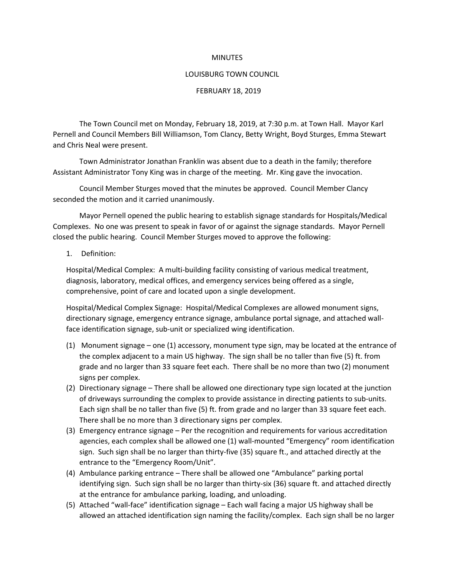### **MINUTES**

#### LOUISBURG TOWN COUNCIL

### FEBRUARY 18, 2019

The Town Council met on Monday, February 18, 2019, at 7:30 p.m. at Town Hall. Mayor Karl Pernell and Council Members Bill Williamson, Tom Clancy, Betty Wright, Boyd Sturges, Emma Stewart and Chris Neal were present.

Town Administrator Jonathan Franklin was absent due to a death in the family; therefore Assistant Administrator Tony King was in charge of the meeting. Mr. King gave the invocation.

Council Member Sturges moved that the minutes be approved. Council Member Clancy seconded the motion and it carried unanimously.

Mayor Pernell opened the public hearing to establish signage standards for Hospitals/Medical Complexes. No one was present to speak in favor of or against the signage standards. Mayor Pernell closed the public hearing. Council Member Sturges moved to approve the following:

#### 1. Definition:

Hospital/Medical Complex: A multi-building facility consisting of various medical treatment, diagnosis, laboratory, medical offices, and emergency services being offered as a single, comprehensive, point of care and located upon a single development.

Hospital/Medical Complex Signage: Hospital/Medical Complexes are allowed monument signs, directionary signage, emergency entrance signage, ambulance portal signage, and attached wallface identification signage, sub-unit or specialized wing identification.

- (1) Monument signage one (1) accessory, monument type sign, may be located at the entrance of the complex adjacent to a main US highway. The sign shall be no taller than five (5) ft. from grade and no larger than 33 square feet each. There shall be no more than two (2) monument signs per complex.
- (2) Directionary signage There shall be allowed one directionary type sign located at the junction of driveways surrounding the complex to provide assistance in directing patients to sub-units. Each sign shall be no taller than five (5) ft. from grade and no larger than 33 square feet each. There shall be no more than 3 directionary signs per complex.
- (3) Emergency entrance signage Per the recognition and requirements for various accreditation agencies, each complex shall be allowed one (1) wall-mounted "Emergency" room identification sign. Such sign shall be no larger than thirty-five (35) square ft., and attached directly at the entrance to the "Emergency Room/Unit".
- (4) Ambulance parking entrance There shall be allowed one "Ambulance" parking portal identifying sign. Such sign shall be no larger than thirty-six (36) square ft. and attached directly at the entrance for ambulance parking, loading, and unloading.
- (5) Attached "wall-face" identification signage Each wall facing a major US highway shall be allowed an attached identification sign naming the facility/complex. Each sign shall be no larger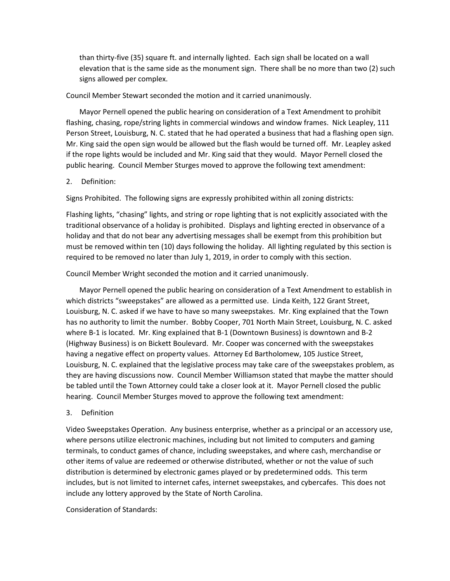than thirty-five (35) square ft. and internally lighted. Each sign shall be located on a wall elevation that is the same side as the monument sign. There shall be no more than two (2) such signs allowed per complex.

## Council Member Stewart seconded the motion and it carried unanimously.

Mayor Pernell opened the public hearing on consideration of a Text Amendment to prohibit flashing, chasing, rope/string lights in commercial windows and window frames. Nick Leapley, 111 Person Street, Louisburg, N. C. stated that he had operated a business that had a flashing open sign. Mr. King said the open sign would be allowed but the flash would be turned off. Mr. Leapley asked if the rope lights would be included and Mr. King said that they would. Mayor Pernell closed the public hearing. Council Member Sturges moved to approve the following text amendment:

# 2. Definition:

Signs Prohibited. The following signs are expressly prohibited within all zoning districts:

Flashing lights, "chasing" lights, and string or rope lighting that is not explicitly associated with the traditional observance of a holiday is prohibited. Displays and lighting erected in observance of a holiday and that do not bear any advertising messages shall be exempt from this prohibition but must be removed within ten (10) days following the holiday. All lighting regulated by this section is required to be removed no later than July 1, 2019, in order to comply with this section.

Council Member Wright seconded the motion and it carried unanimously.

Mayor Pernell opened the public hearing on consideration of a Text Amendment to establish in which districts "sweepstakes" are allowed as a permitted use. Linda Keith, 122 Grant Street, Louisburg, N. C. asked if we have to have so many sweepstakes. Mr. King explained that the Town has no authority to limit the number. Bobby Cooper, 701 North Main Street, Louisburg, N. C. asked where B-1 is located. Mr. King explained that B-1 (Downtown Business) is downtown and B-2 (Highway Business) is on Bickett Boulevard. Mr. Cooper was concerned with the sweepstakes having a negative effect on property values. Attorney Ed Bartholomew, 105 Justice Street, Louisburg, N. C. explained that the legislative process may take care of the sweepstakes problem, as they are having discussions now. Council Member Williamson stated that maybe the matter should be tabled until the Town Attorney could take a closer look at it. Mayor Pernell closed the public hearing. Council Member Sturges moved to approve the following text amendment:

# 3. Definition

Video Sweepstakes Operation. Any business enterprise, whether as a principal or an accessory use, where persons utilize electronic machines, including but not limited to computers and gaming terminals, to conduct games of chance, including sweepstakes, and where cash, merchandise or other items of value are redeemed or otherwise distributed, whether or not the value of such distribution is determined by electronic games played or by predetermined odds. This term includes, but is not limited to internet cafes, internet sweepstakes, and cybercafes. This does not include any lottery approved by the State of North Carolina.

Consideration of Standards: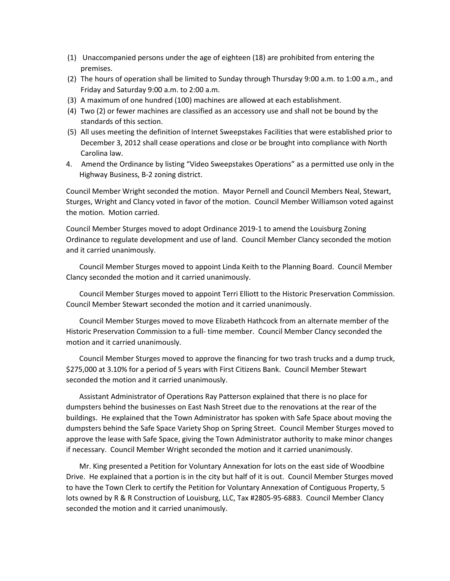- (1) Unaccompanied persons under the age of eighteen (18) are prohibited from entering the premises.
- (2) The hours of operation shall be limited to Sunday through Thursday 9:00 a.m. to 1:00 a.m., and Friday and Saturday 9:00 a.m. to 2:00 a.m.
- (3) A maximum of one hundred (100) machines are allowed at each establishment.
- (4) Two (2) or fewer machines are classified as an accessory use and shall not be bound by the standards of this section.
- (5) All uses meeting the definition of Internet Sweepstakes Facilities that were established prior to December 3, 2012 shall cease operations and close or be brought into compliance with North Carolina law.
- 4. Amend the Ordinance by listing "Video Sweepstakes Operations" as a permitted use only in the Highway Business, B-2 zoning district.

Council Member Wright seconded the motion. Mayor Pernell and Council Members Neal, Stewart, Sturges, Wright and Clancy voted in favor of the motion. Council Member Williamson voted against the motion. Motion carried.

Council Member Sturges moved to adopt Ordinance 2019-1 to amend the Louisburg Zoning Ordinance to regulate development and use of land. Council Member Clancy seconded the motion and it carried unanimously.

Council Member Sturges moved to appoint Linda Keith to the Planning Board. Council Member Clancy seconded the motion and it carried unanimously.

Council Member Sturges moved to appoint Terri Elliott to the Historic Preservation Commission. Council Member Stewart seconded the motion and it carried unanimously.

Council Member Sturges moved to move Elizabeth Hathcock from an alternate member of the Historic Preservation Commission to a full- time member. Council Member Clancy seconded the motion and it carried unanimously.

Council Member Sturges moved to approve the financing for two trash trucks and a dump truck, \$275,000 at 3.10% for a period of 5 years with First Citizens Bank. Council Member Stewart seconded the motion and it carried unanimously.

Assistant Administrator of Operations Ray Patterson explained that there is no place for dumpsters behind the businesses on East Nash Street due to the renovations at the rear of the buildings. He explained that the Town Administrator has spoken with Safe Space about moving the dumpsters behind the Safe Space Variety Shop on Spring Street. Council Member Sturges moved to approve the lease with Safe Space, giving the Town Administrator authority to make minor changes if necessary. Council Member Wright seconded the motion and it carried unanimously.

Mr. King presented a Petition for Voluntary Annexation for lots on the east side of Woodbine Drive. He explained that a portion is in the city but half of it is out. Council Member Sturges moved to have the Town Clerk to certify the Petition for Voluntary Annexation of Contiguous Property, 5 lots owned by R & R Construction of Louisburg, LLC, Tax #2805-95-6883. Council Member Clancy seconded the motion and it carried unanimously.